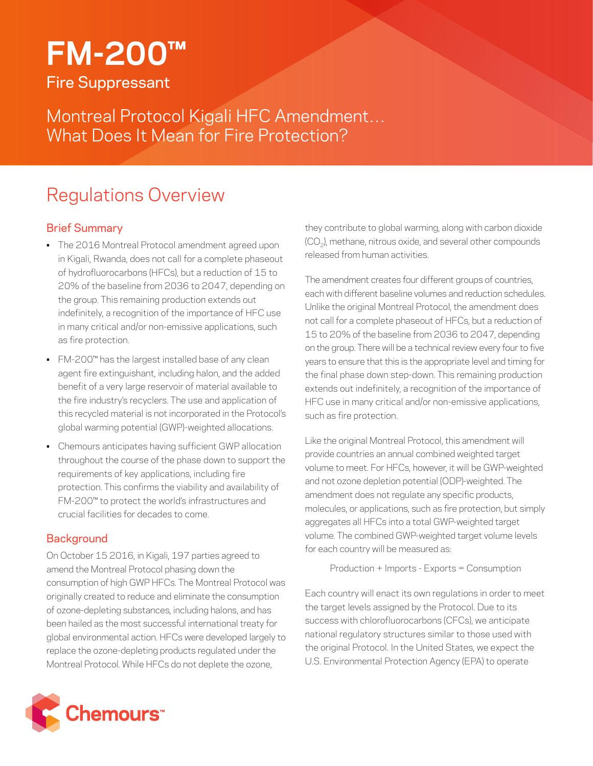# **FM-200™** Fire Suppressant

Montreal Protocol Kigali HFC Amendment… What Does It Mean for Fire Protection?

## Regulations Overview

## Brief Summary

- The 2016 Montreal Protocol amendment agreed upon in Kigali, Rwanda, does not call for a complete phaseout of hydrofluorocarbons (HFCs), but a reduction of 15 to 20% of the baseline from 2036 to 2047, depending on the group. This remaining production extends out indefinitely, a recognition of the importance of HFC use in many critical and/or non-emissive applications, such as fire protection.
- FM-200™ has the largest installed base of any clean agent fire extinguishant, including halon, and the added benefit of a very large reservoir of material available to the fire industry's recyclers. The use and application of this recycled material is not incorporated in the Protocol's global warming potential (GWP)-weighted allocations.
- Chemours anticipates having sufficient GWP allocation throughout the course of the phase down to support the requirements of key applications, including fire protection. This confirms the viability and availability of FM-200™ to protect the world's infrastructures and crucial facilities for decades to come.

### **Background**

On October 15 2016, in Kigali, 197 parties agreed to amend the Montreal Protocol phasing down the consumption of high GWP HFCs. The Montreal Protocol was originally created to reduce and eliminate the consumption of ozone-depleting substances, including halons, and has been hailed as the most successful international treaty for global environmental action. HFCs were developed largely to replace the ozone-depleting products regulated under the Montreal Protocol. While HFCs do not deplete the ozone,

they contribute to global warming, along with carbon dioxide (CO<sub>2</sub>), methane, nitrous oxide, and several other compounds released from human activities.

The amendment creates four different groups of countries, each with different baseline volumes and reduction schedules. Unlike the original Montreal Protocol, the amendment does not call for a complete phaseout of HFCs, but a reduction of 15 to 20% of the baseline from 2036 to 2047, depending on the group. There will be a technical review every four to five years to ensure that this is the appropriate level and timing for the final phase down step-down. This remaining production extends out indefinitely, a recognition of the importance of HFC use in many critical and/or non-emissive applications, such as fire protection.

Like the original Montreal Protocol, this amendment will provide countries an annual combined weighted target volume to meet. For HFCs, however, it will be GWP-weighted and not ozone depletion potential (ODP)-weighted. The amendment does not regulate any specific products, molecules, or applications, such as fire protection, but simply aggregates all HFCs into a total GWP-weighted target volume. The combined GWP-weighted target volume levels for each country will be measured as:

Production + Imports - Exports = Consumption

Each country will enact its own regulations in order to meet the target levels assigned by the Protocol. Due to its success with chlorofluorocarbons (CFCs), we anticipate national regulatory structures similar to those used with the original Protocol. In the United States, we expect the U.S. Environmental Protection Agency (EPA) to operate